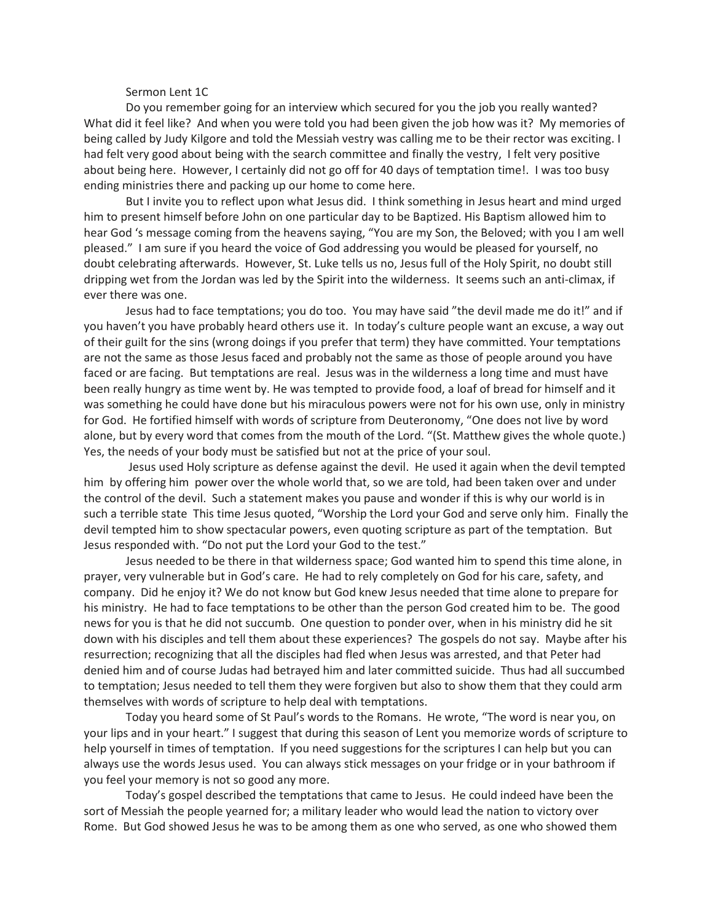## Sermon Lent 1C

Do you remember going for an interview which secured for you the job you really wanted? What did it feel like? And when you were told you had been given the job how was it? My memories of being called by Judy Kilgore and told the Messiah vestry was calling me to be their rector was exciting. I had felt very good about being with the search committee and finally the vestry, I felt very positive about being here. However, I certainly did not go off for 40 days of temptation time!. I was too busy ending ministries there and packing up our home to come here.

But I invite you to reflect upon what Jesus did. I think something in Jesus heart and mind urged him to present himself before John on one particular day to be Baptized. His Baptism allowed him to hear God 's message coming from the heavens saying, "You are my Son, the Beloved; with you I am well pleased." I am sure if you heard the voice of God addressing you would be pleased for yourself, no doubt celebrating afterwards. However, St. Luke tells us no, Jesus full of the Holy Spirit, no doubt still dripping wet from the Jordan was led by the Spirit into the wilderness. It seems such an anti-climax, if ever there was one.

Jesus had to face temptations; you do too. You may have said "the devil made me do it!" and if you haven't you have probably heard others use it. In today's culture people want an excuse, a way out of their guilt for the sins (wrong doings if you prefer that term) they have committed. Your temptations are not the same as those Jesus faced and probably not the same as those of people around you have faced or are facing. But temptations are real. Jesus was in the wilderness a long time and must have been really hungry as time went by. He was tempted to provide food, a loaf of bread for himself and it was something he could have done but his miraculous powers were not for his own use, only in ministry for God. He fortified himself with words of scripture from Deuteronomy, "One does not live by word alone, but by every word that comes from the mouth of the Lord. "(St. Matthew gives the whole quote.) Yes, the needs of your body must be satisfied but not at the price of your soul.

Jesus used Holy scripture as defense against the devil. He used it again when the devil tempted him by offering him power over the whole world that, so we are told, had been taken over and under the control of the devil. Such a statement makes you pause and wonder if this is why our world is in such a terrible state This time Jesus quoted, "Worship the Lord your God and serve only him. Finally the devil tempted him to show spectacular powers, even quoting scripture as part of the temptation. But Jesus responded with. "Do not put the Lord your God to the test."

Jesus needed to be there in that wilderness space; God wanted him to spend this time alone, in prayer, very vulnerable but in God's care. He had to rely completely on God for his care, safety, and company. Did he enjoy it? We do not know but God knew Jesus needed that time alone to prepare for his ministry. He had to face temptations to be other than the person God created him to be. The good news for you is that he did not succumb. One question to ponder over, when in his ministry did he sit down with his disciples and tell them about these experiences? The gospels do not say. Maybe after his resurrection; recognizing that all the disciples had fled when Jesus was arrested, and that Peter had denied him and of course Judas had betrayed him and later committed suicide. Thus had all succumbed to temptation; Jesus needed to tell them they were forgiven but also to show them that they could arm themselves with words of scripture to help deal with temptations.

Today you heard some of St Paul's words to the Romans. He wrote, "The word is near you, on your lips and in your heart." I suggest that during this season of Lent you memorize words of scripture to help yourself in times of temptation. If you need suggestions for the scriptures I can help but you can always use the words Jesus used. You can always stick messages on your fridge or in your bathroom if you feel your memory is not so good any more.

Today's gospel described the temptations that came to Jesus. He could indeed have been the sort of Messiah the people yearned for; a military leader who would lead the nation to victory over Rome. But God showed Jesus he was to be among them as one who served, as one who showed them